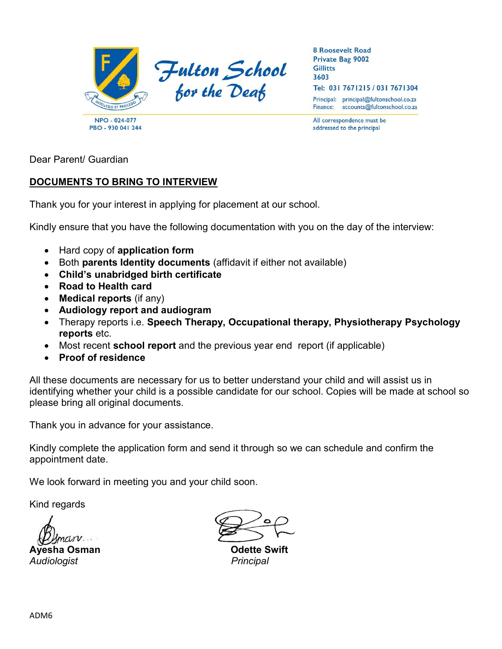

**8 Roosevelt Road** Private Bag 9002 **Gillitts** 3603 Tel: 031 7671215 / 031 7671304

Principal: principal@fultonschool.co.za Finance: accounts@fultonschool.co.za

All correspondence must be addressed to the principal

Dear Parent/ Guardian

# DOCUMENTS TO BRING TO INTERVIEW

Thank you for your interest in applying for placement at our school.

Kindly ensure that you have the following documentation with you on the day of the interview:

- Hard copy of application form
- Both parents Identity documents (affidavit if either not available)
- Child's unabridged birth certificate
- Road to Health card
- Medical reports (if any)
- Audiology report and audiogram
- Therapy reports i.e. Speech Therapy, Occupational therapy, Physiotherapy Psychology reports etc.
- Most recent **school report** and the previous year end report (if applicable)
- Proof of residence

All these documents are necessary for us to better understand your child and will assist us in identifying whether your child is a possible candidate for our school. Copies will be made at school so please bring all original documents.

Thank you in advance for your assistance.

Kindly complete the application form and send it through so we can schedule and confirm the appointment date.

We look forward in meeting you and your child soon.

Kind regards

Ayesha Osman Odette Swift Audiologist **Principal**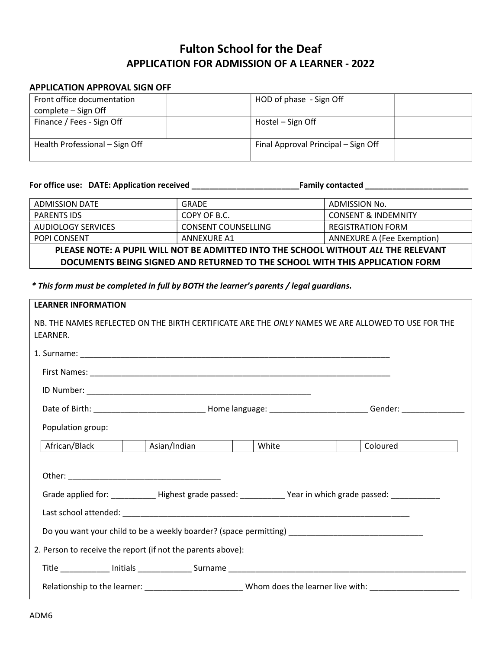# Fulton School for the Deaf APPLICATION FOR ADMISSION OF A LEARNER - 2022

### APPLICATION APPROVAL SIGN OFF

| Front office documentation     | HOD of phase - Sign Off             |  |
|--------------------------------|-------------------------------------|--|
| complete – Sign Off            |                                     |  |
| Finance / Fees - Sign Off      | Hostel – Sign Off                   |  |
|                                |                                     |  |
| Health Professional - Sign Off | Final Approval Principal – Sign Off |  |
|                                |                                     |  |

For office use: DATE: Application received \_\_\_\_\_\_\_\_\_\_\_\_\_\_\_\_\_\_\_\_\_\_\_\_Family contacted \_\_\_\_\_\_\_\_\_\_\_\_\_\_\_\_\_\_\_\_\_\_\_

ADMISSION DATE GRADE GRADE ADMISSION No. PARENTS IDS  $\vert$  COPY OF B.C.  $\vert$  CONSENT & INDEMNITY AUDIOLOGY SERVICES  $\vert$  CONSENT COUNSELLING  $\vert$  REGISTRATION FORM POPI CONSENT ANNEXURE A1 ANNEXURE A1 PLEASE NOTE: A PUPIL WILL NOT BE ADMITTED INTO THE SCHOOL WITHOUT ALL THE RELEVANT DOCUMENTS BEING SIGNED AND RETURNED TO THE SCHOOL WITH THIS APPLICATION FORM

\* This form must be completed in full by BOTH the learner's parents / legal guardians.

| <b>LEARNER INFORMATION</b> |                                                                                                            |       |                                                                                                                |
|----------------------------|------------------------------------------------------------------------------------------------------------|-------|----------------------------------------------------------------------------------------------------------------|
| LEARNER.                   |                                                                                                            |       | NB. THE NAMES REFLECTED ON THE BIRTH CERTIFICATE ARE THE ONLY NAMES WE ARE ALLOWED TO USE FOR THE              |
|                            |                                                                                                            |       |                                                                                                                |
|                            |                                                                                                            |       |                                                                                                                |
|                            |                                                                                                            |       |                                                                                                                |
|                            |                                                                                                            |       |                                                                                                                |
| Population group:          |                                                                                                            |       |                                                                                                                |
| African/Black              | Asian/Indian                                                                                               | White | Coloured                                                                                                       |
|                            | Grade applied for: ____________Highest grade passed: ____________Year in which grade passed: _____________ |       |                                                                                                                |
|                            |                                                                                                            |       |                                                                                                                |
|                            | Do you want your child to be a weekly boarder? (space permitting) _________________________________        |       |                                                                                                                |
|                            | 2. Person to receive the report (if not the parents above):                                                |       |                                                                                                                |
|                            |                                                                                                            |       |                                                                                                                |
|                            |                                                                                                            |       | Relationship to the learner: ____________________________Whom does the learner live with: ____________________ |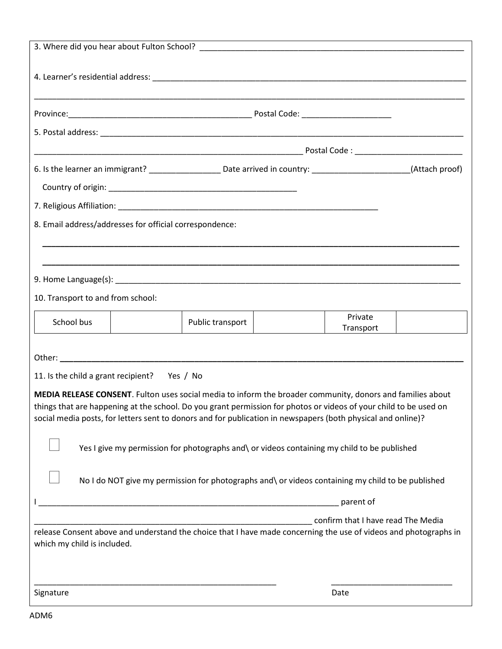| 6. Is the learner an immigrant? ________________________________Date arrived in country: ___________________________(Attach proof)                                                                                                                                                                                                              |                                                                                                   |                                    |  |
|-------------------------------------------------------------------------------------------------------------------------------------------------------------------------------------------------------------------------------------------------------------------------------------------------------------------------------------------------|---------------------------------------------------------------------------------------------------|------------------------------------|--|
|                                                                                                                                                                                                                                                                                                                                                 |                                                                                                   |                                    |  |
|                                                                                                                                                                                                                                                                                                                                                 |                                                                                                   |                                    |  |
| 8. Email address/addresses for official correspondence:                                                                                                                                                                                                                                                                                         |                                                                                                   |                                    |  |
|                                                                                                                                                                                                                                                                                                                                                 |                                                                                                   |                                    |  |
|                                                                                                                                                                                                                                                                                                                                                 |                                                                                                   |                                    |  |
| 9. Home Language(s): Note that the same state of the same state of the same state of the same state of the same state of the same state of the same state of the same state of the same state of the same state of the same st                                                                                                                  |                                                                                                   |                                    |  |
| 10. Transport to and from school:                                                                                                                                                                                                                                                                                                               |                                                                                                   |                                    |  |
| School bus                                                                                                                                                                                                                                                                                                                                      | Public transport                                                                                  | Private<br>Transport               |  |
|                                                                                                                                                                                                                                                                                                                                                 |                                                                                                   |                                    |  |
| 11. Is the child a grant recipient? Yes / No                                                                                                                                                                                                                                                                                                    |                                                                                                   |                                    |  |
| MEDIA RELEASE CONSENT. Fulton uses social media to inform the broader community, donors and families about<br>things that are happening at the school. Do you grant permission for photos or videos of your child to be used on<br>social media posts, for letters sent to donors and for publication in newspapers (both physical and online)? | Yes I give my permission for photographs and\ or videos containing my child to be published       |                                    |  |
|                                                                                                                                                                                                                                                                                                                                                 | No I do NOT give my permission for photographs and\ or videos containing my child to be published |                                    |  |
|                                                                                                                                                                                                                                                                                                                                                 |                                                                                                   | parent of                          |  |
| release Consent above and understand the choice that I have made concerning the use of videos and photographs in<br>which my child is included.                                                                                                                                                                                                 |                                                                                                   | confirm that I have read The Media |  |
| Signature                                                                                                                                                                                                                                                                                                                                       |                                                                                                   | Date                               |  |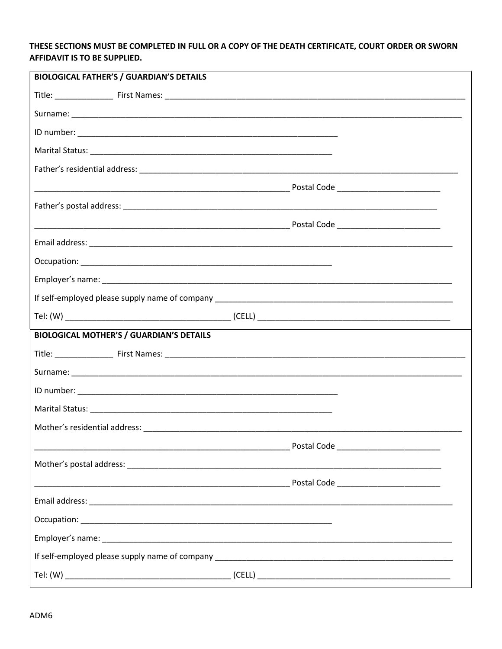## THESE SECTIONS MUST BE COMPLETED IN FULL OR A COPY OF THE DEATH CERTIFICATE, COURT ORDER OR SWORN **AFFIDAVIT IS TO BE SUPPLIED.**

| <b>BIOLOGICAL FATHER'S / GUARDIAN'S DETAILS</b> |  |
|-------------------------------------------------|--|
|                                                 |  |
|                                                 |  |
|                                                 |  |
|                                                 |  |
|                                                 |  |
|                                                 |  |
|                                                 |  |
|                                                 |  |
|                                                 |  |
|                                                 |  |
|                                                 |  |
|                                                 |  |
|                                                 |  |
| <b>BIOLOGICAL MOTHER'S / GUARDIAN'S DETAILS</b> |  |
|                                                 |  |
|                                                 |  |
|                                                 |  |
|                                                 |  |
|                                                 |  |
|                                                 |  |
|                                                 |  |
|                                                 |  |
|                                                 |  |
|                                                 |  |
|                                                 |  |
|                                                 |  |
|                                                 |  |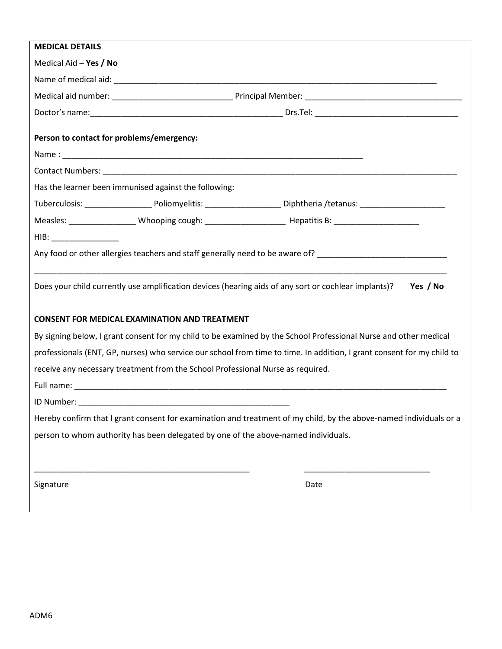| <b>MEDICAL DETAILS</b>                    |                                                                                 |                                                                                                                                                                                                                                |
|-------------------------------------------|---------------------------------------------------------------------------------|--------------------------------------------------------------------------------------------------------------------------------------------------------------------------------------------------------------------------------|
| Medical Aid - Yes / No                    |                                                                                 |                                                                                                                                                                                                                                |
|                                           |                                                                                 |                                                                                                                                                                                                                                |
|                                           |                                                                                 |                                                                                                                                                                                                                                |
|                                           |                                                                                 |                                                                                                                                                                                                                                |
| Person to contact for problems/emergency: |                                                                                 |                                                                                                                                                                                                                                |
|                                           |                                                                                 |                                                                                                                                                                                                                                |
|                                           |                                                                                 |                                                                                                                                                                                                                                |
|                                           | Has the learner been immunised against the following:                           |                                                                                                                                                                                                                                |
|                                           |                                                                                 |                                                                                                                                                                                                                                |
|                                           |                                                                                 |                                                                                                                                                                                                                                |
| $HIB:$ _____________________              |                                                                                 |                                                                                                                                                                                                                                |
|                                           |                                                                                 | Any food or other allergies teachers and staff generally need to be aware of? [16] [16] Any food or other allergies teachers and staff generally need to be aware of? [16] [16] [16] Any food or other allergies that allergie |
|                                           |                                                                                 |                                                                                                                                                                                                                                |
|                                           |                                                                                 | Does your child currently use amplification devices (hearing aids of any sort or cochlear implants)?<br>Yes / No                                                                                                               |
|                                           |                                                                                 |                                                                                                                                                                                                                                |
|                                           | <b>CONSENT FOR MEDICAL EXAMINATION AND TREATMENT</b>                            |                                                                                                                                                                                                                                |
|                                           |                                                                                 | By signing below, I grant consent for my child to be examined by the School Professional Nurse and other medical                                                                                                               |
|                                           |                                                                                 | professionals (ENT, GP, nurses) who service our school from time to time. In addition, I grant consent for my child to                                                                                                         |
|                                           | receive any necessary treatment from the School Professional Nurse as required. |                                                                                                                                                                                                                                |
|                                           |                                                                                 |                                                                                                                                                                                                                                |
|                                           |                                                                                 |                                                                                                                                                                                                                                |
|                                           |                                                                                 | Hereby confirm that I grant consent for examination and treatment of my child, by the above-named individuals or a                                                                                                             |
|                                           |                                                                                 | person to whom authority has been delegated by one of the above-named individuals.                                                                                                                                             |
|                                           |                                                                                 |                                                                                                                                                                                                                                |
|                                           |                                                                                 |                                                                                                                                                                                                                                |
| Signature                                 |                                                                                 | Date                                                                                                                                                                                                                           |
|                                           |                                                                                 |                                                                                                                                                                                                                                |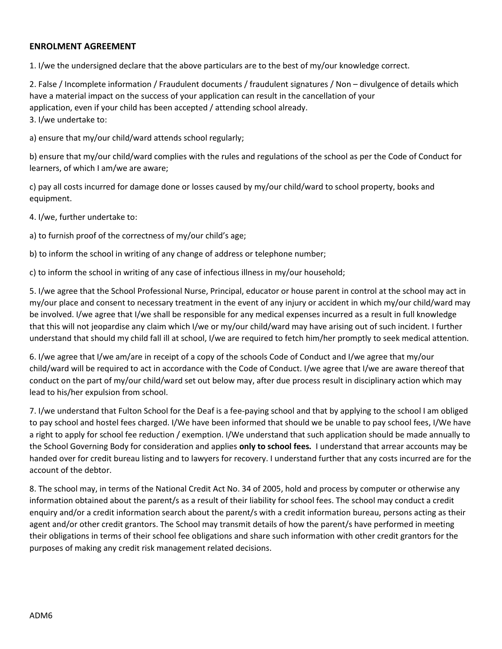### ENROLMENT AGREEMENT

1. I/we the undersigned declare that the above particulars are to the best of my/our knowledge correct.

2. False / Incomplete information / Fraudulent documents / fraudulent signatures / Non – divulgence of details which have a material impact on the success of your application can result in the cancellation of your application, even if your child has been accepted / attending school already. 3. I/we undertake to:

a) ensure that my/our child/ward attends school regularly;

b) ensure that my/our child/ward complies with the rules and regulations of the school as per the Code of Conduct for learners, of which I am/we are aware;

c) pay all costs incurred for damage done or losses caused by my/our child/ward to school property, books and equipment.

4. I/we, further undertake to:

a) to furnish proof of the correctness of my/our child's age;

b) to inform the school in writing of any change of address or telephone number;

c) to inform the school in writing of any case of infectious illness in my/our household;

5. I/we agree that the School Professional Nurse, Principal, educator or house parent in control at the school may act in my/our place and consent to necessary treatment in the event of any injury or accident in which my/our child/ward may be involved. I/we agree that I/we shall be responsible for any medical expenses incurred as a result in full knowledge that this will not jeopardise any claim which I/we or my/our child/ward may have arising out of such incident. I further understand that should my child fall ill at school, I/we are required to fetch him/her promptly to seek medical attention.

6. I/we agree that I/we am/are in receipt of a copy of the schools Code of Conduct and I/we agree that my/our child/ward will be required to act in accordance with the Code of Conduct. I/we agree that I/we are aware thereof that conduct on the part of my/our child/ward set out below may, after due process result in disciplinary action which may lead to his/her expulsion from school.

7. I/we understand that Fulton School for the Deaf is a fee-paying school and that by applying to the school I am obliged to pay school and hostel fees charged. I/We have been informed that should we be unable to pay school fees, I/We have a right to apply for school fee reduction / exemption. I/We understand that such application should be made annually to the School Governing Body for consideration and applies only to school fees. I understand that arrear accounts may be handed over for credit bureau listing and to lawyers for recovery. I understand further that any costs incurred are for the account of the debtor.

8. The school may, in terms of the National Credit Act No. 34 of 2005, hold and process by computer or otherwise any information obtained about the parent/s as a result of their liability for school fees. The school may conduct a credit enquiry and/or a credit information search about the parent/s with a credit information bureau, persons acting as their agent and/or other credit grantors. The School may transmit details of how the parent/s have performed in meeting their obligations in terms of their school fee obligations and share such information with other credit grantors for the purposes of making any credit risk management related decisions.